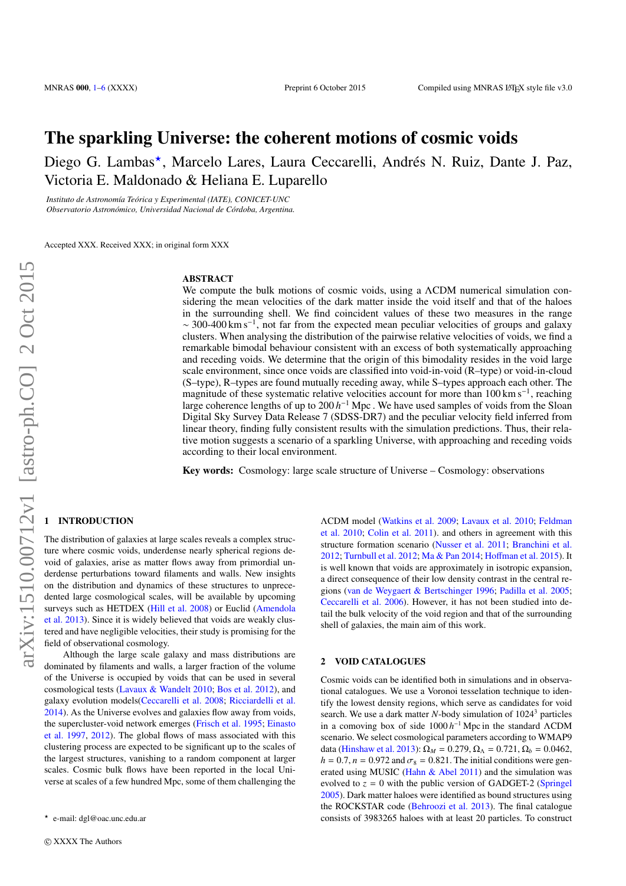# The sparkling Universe: the coherent motions of cosmic voids

Diego G. Lambas\*, Marcelo Lares, Laura Ceccarelli, Andrés N. Ruiz, Dante J. Paz, Victoria E. Maldonado & Heliana E. Luparello

*Instituto de Astronomía Teórica y Experimental (IATE), CONICET-UNC Observatorio Astronómico, Universidad Nacional de Córdoba, Argentina.*

Accepted XXX. Received XXX; in original form XXX

#### ABSTRACT

We compute the bulk motions of cosmic voids, using a ΛCDM numerical simulation considering the mean velocities of the dark matter inside the void itself and that of the haloes in the surrounding shell. We find coincident values of these two measures in the range ∼ 300-400 km s−<sup>1</sup> , not far from the expected mean peculiar velocities of groups and galaxy clusters. When analysing the distribution of the pairwise relative velocities of voids, we find a remarkable bimodal behaviour consistent with an excess of both systematically approaching and receding voids. We determine that the origin of this bimodality resides in the void large scale environment, since once voids are classified into void-in-void (R–type) or void-in-cloud (S–type), R–types are found mutually receding away, while S–types approach each other. The magnitude of these systematic relative velocities account for more than 100 km s<sup>-1</sup>, reaching large coherence lengths of up to  $200 h^{-1}$  Mpc. We have used samples of voids from the Sloan Digital Sky Survey Data Release 7 (SDSS-DR7) and the peculiar velocity field inferred from linear theory, finding fully consistent results with the simulation predictions. Thus, their relative motion suggests a scenario of a sparkling Universe, with approaching and receding voids according to their local environment.

Key words: Cosmology: large scale structure of Universe – Cosmology: observations

# <span id="page-0-0"></span>**INTRODUCTION**

The distribution of galaxies at large scales reveals a complex structure where cosmic voids, underdense nearly spherical regions devoid of galaxies, arise as matter flows away from primordial underdense perturbations toward filaments and walls. New insights on the distribution and dynamics of these structures to unprecedented large cosmological scales, will be available by upcoming surveys such as HETDEX [\(Hill et al.](#page-4-1) [2008\)](#page-4-1) or Euclid [\(Amendola](#page-4-2) [et al.](#page-4-2) [2013\)](#page-4-2). Since it is widely believed that voids are weakly clustered and have negligible velocities, their study is promising for the field of observational cosmology.

Although the large scale galaxy and mass distributions are dominated by filaments and walls, a larger fraction of the volume of the Universe is occupied by voids that can be used in several cosmological tests [\(Lavaux & Wandelt](#page-4-3) [2010;](#page-4-3) [Bos et al.](#page-4-4) [2012\)](#page-4-4), and galaxy evolution models[\(Ceccarelli et al.](#page-4-5) [2008;](#page-4-5) [Ricciardelli et al.](#page-5-0) [2014\)](#page-5-0). As the Universe evolves and galaxies flow away from voids, the supercluster-void network emerges [\(Frisch et al.](#page-4-6) [1995;](#page-4-6) [Einasto](#page-4-7) [et al.](#page-4-7) [1997,](#page-4-7) [2012\)](#page-4-8). The global flows of mass associated with this clustering process are expected to be significant up to the scales of the largest structures, vanishing to a random component at larger scales. Cosmic bulk flows have been reported in the local Universe at scales of a few hundred Mpc, some of them challenging the

ΛCDM model [\(Watkins et al.](#page-5-1) [2009;](#page-5-1) [Lavaux et al.](#page-4-9) [2010;](#page-4-9) [Feldman](#page-4-10) [et al.](#page-4-10) [2010;](#page-4-10) [Colin et al.](#page-4-11) [2011\)](#page-4-11). and others in agreement with this structure formation scenario [\(Nusser et al.](#page-4-12) [2011;](#page-4-12) [Branchini et al.](#page-4-13) [2012;](#page-4-13) [Turnbull et al.](#page-5-2) [2012;](#page-5-2) [Ma & Pan](#page-4-14) [2014;](#page-4-14) Hoff[man et al.](#page-4-15) [2015\)](#page-4-15). It is well known that voids are approximately in isotropic expansion, a direct consequence of their low density contrast in the central regions [\(van de Weygaert & Bertschinger](#page-5-3) [1996;](#page-5-3) [Padilla et al.](#page-4-16) [2005;](#page-4-16) [Ceccarelli et al.](#page-4-17) [2006\)](#page-4-17). However, it has not been studied into detail the bulk velocity of the void region and that of the surrounding shell of galaxies, the main aim of this work.

## 2 VOID CATALOGUES

Cosmic voids can be identified both in simulations and in observational catalogues. We use a Voronoi tesselation technique to identify the lowest density regions, which serve as candidates for void search. We use a dark matter *N*-body simulation of 1024<sup>3</sup> particles in a comoving box of side 1000 *h*<sup>-1</sup> Mpc in the standard ΛCDM scenario. We select cosmological parameters according to WMAP9 data [\(Hinshaw et al.](#page-4-18) [2013\)](#page-4-18):  $\Omega_M = 0.279$ ,  $\Omega_{\Lambda} = 0.721$ ,  $\Omega_b = 0.0462$ ,  $h = 0.7$ ,  $n = 0.972$  and  $\sigma_8 = 0.821$ . The initial conditions were generated using MUSIC [\(Hahn & Abel](#page-4-19) [2011\)](#page-4-19) and the simulation was evolved to  $z = 0$  with the public version of GADGET-2 [\(Springel](#page-5-4) [2005\)](#page-5-4). Dark matter haloes were identified as bound structures using the ROCKSTAR code [\(Behroozi et al.](#page-4-20) [2013\)](#page-4-20). The final catalogue consists of 3983265 haloes with at least 20 particles. To construct

<sup>?</sup> e-mail: dgl@oac.unc.edu.ar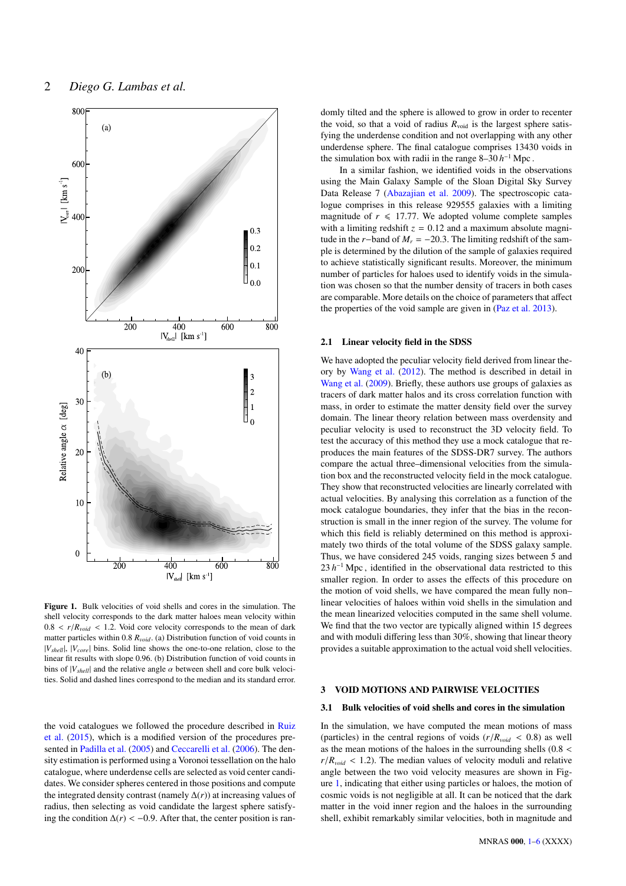

<span id="page-1-0"></span>Figure 1. Bulk velocities of void shells and cores in the simulation. The shell velocity corresponds to the dark matter haloes mean velocity within  $0.8 < r/R<sub>void</sub> < 1.2$ . Void core velocity corresponds to the mean of dark matter particles within 0.<sup>8</sup> *<sup>R</sup>void*. (a) Distribution function of void counts in |*Vshell*|, |*Vcore*| bins. Solid line shows the one-to-one relation, close to the linear fit results with slope 0.96. (b) Distribution function of void counts in bins of  $|V_{shell}|$  and the relative angle  $\alpha$  between shell and core bulk velocities. Solid and dashed lines correspond to the median and its standard error.

the void catalogues we followed the procedure described in [Ruiz](#page-5-5) [et al.](#page-5-5) [\(2015\)](#page-5-5), which is a modified version of the procedures presented in [Padilla et al.](#page-4-16) [\(2005\)](#page-4-16) and [Ceccarelli et al.](#page-4-17) [\(2006\)](#page-4-17). The density estimation is performed using a Voronoi tessellation on the halo catalogue, where underdense cells are selected as void center candidates. We consider spheres centered in those positions and compute the integrated density contrast (namely ∆(*r*)) at increasing values of radius, then selecting as void candidate the largest sphere satisfying the condition  $\Delta(r)$  < −0.9. After that, the center position is randomly tilted and the sphere is allowed to grow in order to recenter the void, so that a void of radius  $R_{\text{void}}$  is the largest sphere satisfying the underdense condition and not overlapping with any other underdense sphere. The final catalogue comprises 13430 voids in the simulation box with radii in the range  $8-30 h^{-1}$  Mpc.

In a similar fashion, we identified voids in the observations using the Main Galaxy Sample of the Sloan Digital Sky Survey Data Release 7 [\(Abazajian et al.](#page-4-21) [2009\)](#page-4-21). The spectroscopic catalogue comprises in this release 929555 galaxies with a limiting magnitude of  $r \leq 17.77$ . We adopted volume complete samples with a limiting redshift  $z = 0.12$  and a maximum absolute magnitude in the *r*−band of  $M_r = -20.3$ . The limiting redshift of the sample is determined by the dilution of the sample of galaxies required to achieve statistically significant results. Moreover, the minimum number of particles for haloes used to identify voids in the simulation was chosen so that the number density of tracers in both cases are comparable. More details on the choice of parameters that affect the properties of the void sample are given in [\(Paz et al.](#page-4-22) [2013\)](#page-4-22).

## 2.1 Linear velocity field in the SDSS

We have adopted the peculiar velocity field derived from linear theory by [Wang et al.](#page-5-6) [\(2012\)](#page-5-6). The method is described in detail in [Wang et al.](#page-5-7) [\(2009\)](#page-5-7). Briefly, these authors use groups of galaxies as tracers of dark matter halos and its cross correlation function with mass, in order to estimate the matter density field over the survey domain. The linear theory relation between mass overdensity and peculiar velocity is used to reconstruct the 3D velocity field. To test the accuracy of this method they use a mock catalogue that reproduces the main features of the SDSS-DR7 survey. The authors compare the actual three–dimensional velocities from the simulation box and the reconstructed velocity field in the mock catalogue. They show that reconstructed velocities are linearly correlated with actual velocities. By analysing this correlation as a function of the mock catalogue boundaries, they infer that the bias in the reconstruction is small in the inner region of the survey. The volume for which this field is reliably determined on this method is approximately two thirds of the total volume of the SDSS galaxy sample. Thus, we have considered 245 voids, ranging sizes between 5 and  $23 h^{-1}$  Mpc, identified in the observational data restricted to this smaller region. In order to asses the effects of this procedure on the motion of void shells, we have compared the mean fully non– linear velocities of haloes within void shells in the simulation and the mean linearized velocities computed in the same shell volume. We find that the two vector are typically aligned within 15 degrees and with moduli differing less than 30%, showing that linear theory provides a suitable approximation to the actual void shell velocities.

## 3 VOID MOTIONS AND PAIRWISE VELOCITIES

#### 3.1 Bulk velocities of void shells and cores in the simulation

In the simulation, we have computed the mean motions of mass (particles) in the central regions of voids  $(r/R_{void} < 0.8)$  as well as the mean motions of the haloes in the surrounding shells (0.<sup>8</sup> <  $r/R_{void}$  < 1.2). The median values of velocity moduli and relative angle between the two void velocity measures are shown in Figure [1,](#page-1-0) indicating that either using particles or haloes, the motion of cosmic voids is not negligible at all. It can be noticed that the dark matter in the void inner region and the haloes in the surrounding shell, exhibit remarkably similar velocities, both in magnitude and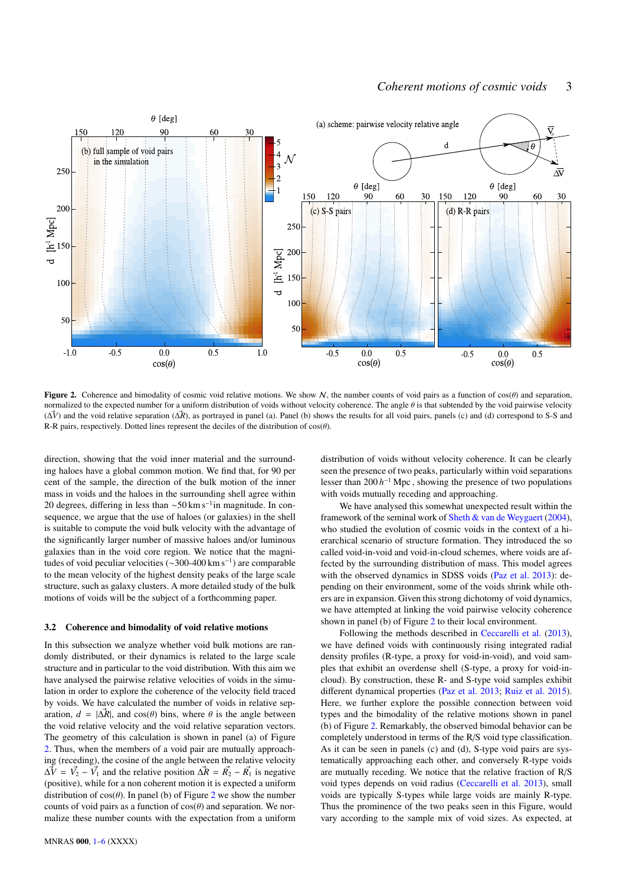

Figure 2. Coherence and bimodality of cosmic void relative motions. We show N, the number counts of void pairs as a function of  $cos(\theta)$  and separation, normalized to the expected number for a uniform distribution of voids without velocity coherence. The angle  $\theta$  is that subtended by the void pairwise velocity (∆~*V*) and the void relative separation (∆~*R*), as portrayed in panel (a). Panel (b) shows the results for all void pairs, panels (c) and (d) correspond to S-S and R-R pairs, respectively. Dotted lines represent the deciles of the distribution of  $cos(\theta)$ .

direction, showing that the void inner material and the surrounding haloes have a global common motion. We find that, for 90 per cent of the sample, the direction of the bulk motion of the inner mass in voids and the haloes in the surrounding shell agree within 20 degrees, differing in less than ~50 km s<sup>-1</sup>in magnitude. In consequence, we argue that the use of haloes (or galaxies) in the shell is suitable to compute the void bulk velocity with the advantage of the significantly larger number of massive haloes and/or luminous galaxies than in the void core region. We notice that the magnitudes of void peculiar velocities (∼300-400 km s<sup>−</sup><sup>1</sup> ) are comparable to the mean velocity of the highest density peaks of the large scale structure, such as galaxy clusters. A more detailed study of the bulk motions of voids will be the subject of a forthcomming paper.

## 3.2 Coherence and bimodality of void relative motions

In this subsection we analyze whether void bulk motions are randomly distributed, or their dynamics is related to the large scale structure and in particular to the void distribution. With this aim we have analysed the pairwise relative velocities of voids in the simulation in order to explore the coherence of the velocity field traced by voids. We have calculated the number of voids in relative separation,  $d = |\Delta \vec{R}|$ , and cos( $\theta$ ) bins, where  $\theta$  is the angle between the void relative velocity and the void relative separation vectors. The geometry of this calculation is shown in panel (a) of Figure [2.](#page-2-0) Thus, when the members of a void pair are mutually approaching (receding), the cosine of the angle between the relative velocity  $\vec{\Delta V} = \vec{V_2} - \vec{V_1}$  and the relative position  $\vec{\Delta R} = \vec{R_2} - \vec{R_1}$  is negative (positive), while for a non coherent motion it is expected a uniform distribution of  $cos(\theta)$ . In panel (b) of Figure [2](#page-2-0) we show the number counts of void pairs as a function of  $cos(\theta)$  and separation. We normalize these number counts with the expectation from a uniform <span id="page-2-0"></span>distribution of voids without velocity coherence. It can be clearly seen the presence of two peaks, particularly within void separations lesser than  $200 h^{-1}$  Mpc, showing the presence of two populations with voids mutually receding and approaching.

We have analysed this somewhat unexpected result within the framework of the seminal work of [Sheth & van de Weygaert](#page-5-8) [\(2004\)](#page-5-8), who studied the evolution of cosmic voids in the context of a hierarchical scenario of structure formation. They introduced the so called void-in-void and void-in-cloud schemes, where voids are affected by the surrounding distribution of mass. This model agrees with the observed dynamics in SDSS voids [\(Paz et al.](#page-4-22) [2013\)](#page-4-22): depending on their environment, some of the voids shrink while others are in expansion. Given this strong dichotomy of void dynamics, we have attempted at linking the void pairwise velocity coherence shown in panel (b) of Figure [2](#page-2-0) to their local environment.

Following the methods described in [Ceccarelli et al.](#page-4-23) [\(2013\)](#page-4-23), we have defined voids with continuously rising integrated radial density profiles (R-type, a proxy for void-in-void), and void samples that exhibit an overdense shell (S-type, a proxy for void-incloud). By construction, these R- and S-type void samples exhibit different dynamical properties [\(Paz et al.](#page-4-22) [2013;](#page-4-22) [Ruiz et al.](#page-5-5) [2015\)](#page-5-5). Here, we further explore the possible connection between void types and the bimodality of the relative motions shown in panel (b) of Figure [2.](#page-2-0) Remarkably, the observed bimodal behavior can be completely understood in terms of the R/S void type classification. As it can be seen in panels (c) and (d), S-type void pairs are systematically approaching each other, and conversely R-type voids are mutually receding. We notice that the relative fraction of R/S void types depends on void radius [\(Ceccarelli et al.](#page-4-23) [2013\)](#page-4-23), small voids are typically S-types while large voids are mainly R-type. Thus the prominence of the two peaks seen in this Figure, would vary according to the sample mix of void sizes. As expected, at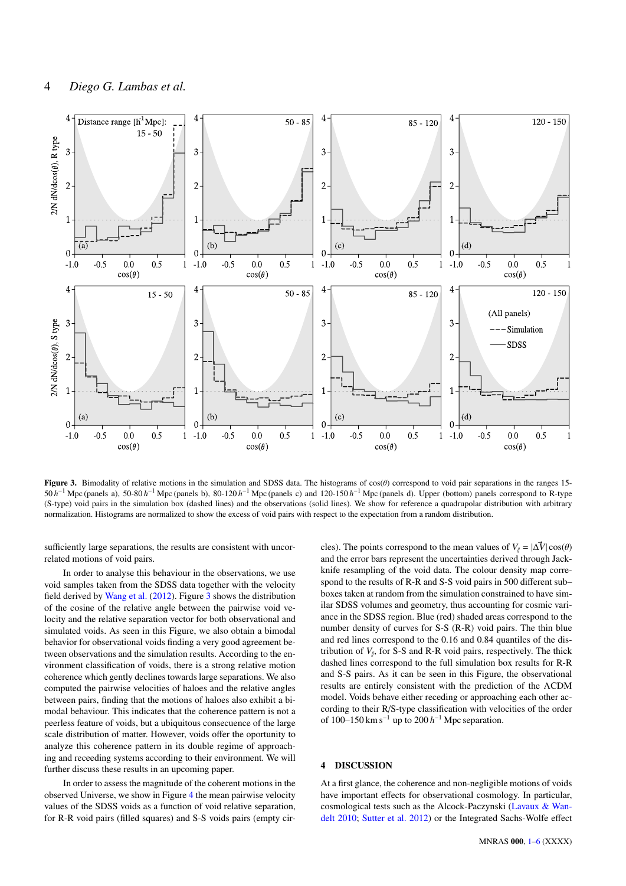

Figure 3. Bimodality of relative motions in the simulation and SDSS data. The histograms of  $cos(\theta)$  correspond to void pair separations in the ranges 15-50 *h*<sup>-1</sup> Mpc (panels a), 50-80 *h*<sup>-1</sup> Mpc (panels b), 80-120 *h*<sup>-1</sup> Mpc (panels c) and 120-150 *h*<sup>-1</sup> Mpc (panels d). Upper (bottom) panels correspond to R-type (S-type) void pairs in the simulation box (dashed lines) and the observations (solid lines). We show for reference a quadrupolar distribution with arbitrary normalization. Histograms are normalized to show the excess of void pairs with respect to the expectation from a random distribution.

sufficiently large separations, the results are consistent with uncorrelated motions of void pairs.

In order to analyse this behaviour in the observations, we use void samples taken from the SDSS data together with the velocity field derived by [Wang et al.](#page-5-6) [\(2012\)](#page-5-6). Figure [3](#page-3-0) shows the distribution of the cosine of the relative angle between the pairwise void velocity and the relative separation vector for both observational and simulated voids. As seen in this Figure, we also obtain a bimodal behavior for observational voids finding a very good agreement between observations and the simulation results. According to the environment classification of voids, there is a strong relative motion coherence which gently declines towards large separations. We also computed the pairwise velocities of haloes and the relative angles between pairs, finding that the motions of haloes also exhibit a bimodal behaviour. This indicates that the coherence pattern is not a peerless feature of voids, but a ubiquitous consecuence of the large scale distribution of matter. However, voids offer the oportunity to analyze this coherence pattern in its double regime of approaching and receeding systems according to their environment. We will further discuss these results in an upcoming paper.

In order to assess the magnitude of the coherent motions in the observed Universe, we show in Figure [4](#page-4-0) the mean pairwise velocity values of the SDSS voids as a function of void relative separation, for R-R void pairs (filled squares) and S-S voids pairs (empty cir<span id="page-3-0"></span>cles). The points correspond to the mean values of  $V_{\parallel} = |\Delta V| \cos(\theta)$ and the error bars represent the uncertainties derived through Jackknife resampling of the void data. The colour density map correspond to the results of R-R and S-S void pairs in 500 different sub– boxes taken at random from the simulation constrained to have similar SDSS volumes and geometry, thus accounting for cosmic variance in the SDSS region. Blue (red) shaded areas correspond to the number density of curves for S-S (R-R) void pairs. The thin blue and red lines correspond to the 0.16 and 0.84 quantiles of the distribution of  $V_{\parallel}$ , for S-S and R-R void pairs, respectively. The thick dashed lines correspond to the full simulation box results for R-R and S-S pairs. As it can be seen in this Figure, the observational results are entirely consistent with the prediction of the ΛCDM model. Voids behave either receding or approaching each other according to their R/S-type classification with velocities of the order of 100–150 km s<sup>-1</sup> up to 200  $h$ <sup>-1</sup> Mpc separation.

# 4 DISCUSSION

At a first glance, the coherence and non-negligible motions of voids have important effects for observational cosmology. In particular, cosmological tests such as the Alcock-Paczynski [\(Lavaux & Wan](#page-4-3)[delt](#page-4-3) [2010;](#page-4-3) [Sutter et al.](#page-5-9) [2012\)](#page-5-9) or the Integrated Sachs-Wolfe effect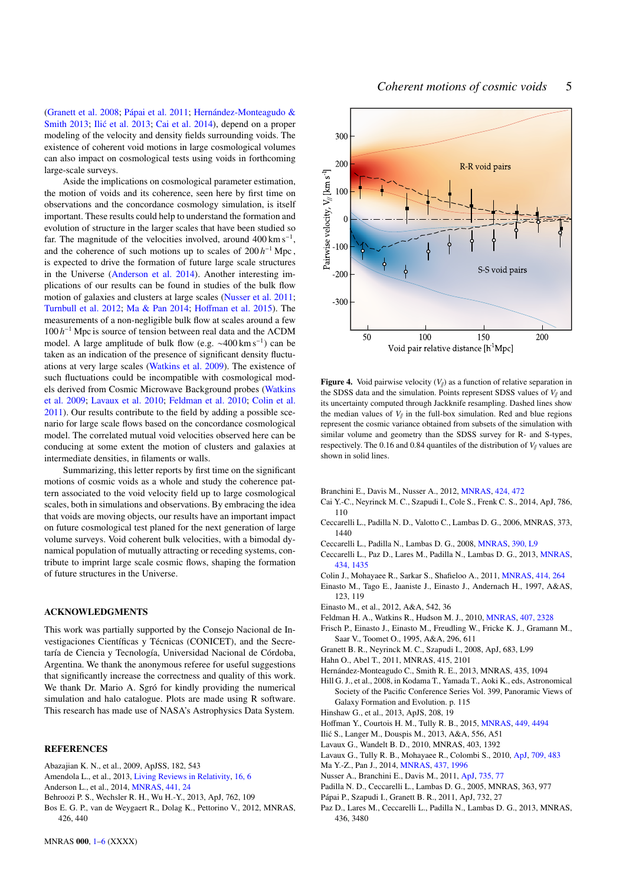[\(Granett et al.](#page-4-24) [2008;](#page-4-24) [Pápai et al.](#page-4-25) [2011;](#page-4-25) [Hernández-Monteagudo &](#page-4-26) [Smith](#page-4-26) [2013;](#page-4-27) Ilić et al. 2013; [Cai et al.](#page-4-28) [2014\)](#page-4-28), depend on a proper modeling of the velocity and density fields surrounding voids. The existence of coherent void motions in large cosmological volumes can also impact on cosmological tests using voids in forthcoming large-scale surveys.

Aside the implications on cosmological parameter estimation, the motion of voids and its coherence, seen here by first time on observations and the concordance cosmology simulation, is itself important. These results could help to understand the formation and evolution of structure in the larger scales that have been studied so far. The magnitude of the velocities involved, around  $400 \text{ km s}^{-1}$ , and the coherence of such motions up to scales of  $200 h^{-1}$  Mpc, is expected to drive the formation of future large scale structures in the Universe [\(Anderson et al.](#page-4-29) [2014\)](#page-4-29). Another interesting implications of our results can be found in studies of the bulk flow motion of galaxies and clusters at large scales [\(Nusser et al.](#page-4-12) [2011;](#page-4-12) [Turnbull et al.](#page-5-2) [2012;](#page-5-2) [Ma & Pan](#page-4-14) [2014;](#page-4-14) Hoff[man et al.](#page-4-15) [2015\)](#page-4-15). The measurements of a non-negligible bulk flow at scales around a few 100 *h* <sup>−</sup><sup>1</sup> Mpc is source of tension between real data and the ΛCDM model. A large amplitude of bulk flow (e.g. ∼400 km s<sup>−</sup><sup>1</sup> ) can be taken as an indication of the presence of significant density fluctuations at very large scales [\(Watkins et al.](#page-5-1) [2009\)](#page-5-1). The existence of such fluctuations could be incompatible with cosmological models derived from Cosmic Microwave Background probes [\(Watkins](#page-5-1) [et al.](#page-5-1) [2009;](#page-5-1) [Lavaux et al.](#page-4-9) [2010;](#page-4-9) [Feldman et al.](#page-4-10) [2010;](#page-4-10) [Colin et al.](#page-4-11) [2011\)](#page-4-11). Our results contribute to the field by adding a possible scenario for large scale flows based on the concordance cosmological model. The correlated mutual void velocities observed here can be conducing at some extent the motion of clusters and galaxies at intermediate densities, in filaments or walls.

Summarizing, this letter reports by first time on the significant motions of cosmic voids as a whole and study the coherence pattern associated to the void velocity field up to large cosmological scales, both in simulations and observations. By embracing the idea that voids are moving objects, our results have an important impact on future cosmological test planed for the next generation of large volume surveys. Void coherent bulk velocities, with a bimodal dynamical population of mutually attracting or receding systems, contribute to imprint large scale cosmic flows, shaping the formation of future structures in the Universe.

## ACKNOWLEDGMENTS

This work was partially supported by the Consejo Nacional de Investigaciones Científicas y Técnicas (CONICET), and the Secretaría de Ciencia y Tecnología, Universidad Nacional de Córdoba, Argentina. We thank the anonymous referee for useful suggestions that significantly increase the correctness and quality of this work. We thank Dr. Mario A. Sgró for kindly providing the numerical simulation and halo catalogue. Plots are made using R software. This research has made use of NASA's Astrophysics Data System.

# **REFERENCES**

- <span id="page-4-21"></span>Abazajian K. N., et al., 2009, ApJSS, 182, 543
- <span id="page-4-2"></span>Amendola L., et al., 2013, [Living Reviews in Relativity,](http://dx.doi.org/10.12942/lrr-2013-6) [16, 6](http://adsabs.harvard.edu/abs/2013LRR....16....6A)
- <span id="page-4-29"></span>Anderson L., et al., 2014, [MNRAS,](http://dx.doi.org/10.1093/mnras/stu523) [441, 24](http://adsabs.harvard.edu/abs/2014MNRAS.441...24A)
- <span id="page-4-20"></span>Behroozi P. S., Wechsler R. H., Wu H.-Y., 2013, ApJ, 762, 109
- <span id="page-4-4"></span>Bos E. G. P., van de Weygaert R., Dolag K., Pettorino V., 2012, MNRAS, 426, 440



<span id="page-4-0"></span>**Figure 4.** Void pairwise velocity  $(V_{\parallel})$  as a function of relative separation in the SDSS data and the simulation. Points represent SDSS values of  $V_{\parallel}$  and its uncertainty computed through Jackknife resampling. Dashed lines show the median values of  $V_{\ell}$  in the full-box simulation. Red and blue regions represent the cosmic variance obtained from subsets of the simulation with similar volume and geometry than the SDSS survey for R- and S-types, respectively. The 0.16 and 0.84 quantiles of the distribution of  $V$ // values are shown in solid lines.

- <span id="page-4-13"></span>Branchini E., Davis M., Nusser A., 2012, [MNRAS,](http://dx.doi.org/10.1111/j.1365-2966.2012.21210.x) [424, 472](http://adsabs.harvard.edu/abs/2012MNRAS.424..472B)
- <span id="page-4-28"></span>Cai Y.-C., Neyrinck M. C., Szapudi I., Cole S., Frenk C. S., 2014, ApJ, 786, 110
- <span id="page-4-17"></span>Ceccarelli L., Padilla N. D., Valotto C., Lambas D. G., 2006, MNRAS, 373, 1440
- <span id="page-4-5"></span>Ceccarelli L., Padilla N., Lambas D. G., 2008, [MNRAS,](http://dx.doi.org/10.1111/j.1745-3933.2008.00520.x) [390, L9](http://adsabs.harvard.edu/abs/2008MNRAS.390L...9C)
- <span id="page-4-23"></span>Ceccarelli L., Paz D., Lares M., Padilla N., Lambas D. G., 2013, [MNRAS,](http://dx.doi.org/10.1093/mnras/stt1097) [434, 1435](http://adsabs.harvard.edu/abs/2013MNRAS.434.1435C)
- <span id="page-4-11"></span>Colin J., Mohayaee R., Sarkar S., Shafieloo A., 2011, [MNRAS,](http://dx.doi.org/10.1111/j.1365-2966.2011.18402.x) [414, 264](http://adsabs.harvard.edu/abs/2011MNRAS.414..264C)
- <span id="page-4-7"></span>Einasto M., Tago E., Jaaniste J., Einasto J., Andernach H., 1997, A&AS, 123, 119
- <span id="page-4-8"></span>Einasto M., et al., 2012, A&A, 542, 36
- <span id="page-4-10"></span>Feldman H. A., Watkins R., Hudson M. J., 2010, [MNRAS,](http://dx.doi.org/10.1111/j.1365-2966.2010.17052.x) [407, 2328](http://adsabs.harvard.edu/abs/2010MNRAS.407.2328F)
- <span id="page-4-6"></span>Frisch P., Einasto J., Einasto M., Freudling W., Fricke K. J., Gramann M.,
- Saar V., Toomet O., 1995, A&A, 296, 611
- <span id="page-4-24"></span>Granett B. R., Neyrinck M. C., Szapudi I., 2008, ApJ, 683, L99
- <span id="page-4-19"></span>Hahn O., Abel T., 2011, MNRAS, 415, 2101
- <span id="page-4-26"></span>Hernández-Monteagudo C., Smith R. E., 2013, MNRAS, 435, 1094
- <span id="page-4-1"></span>Hill G. J., et al., 2008, in Kodama T., Yamada T., Aoki K., eds, Astronomical Society of the Pacific Conference Series Vol. 399, Panoramic Views of Galaxy Formation and Evolution. p. 115
- <span id="page-4-18"></span>Hinshaw G., et al., 2013, ApJS, 208, 19
- <span id="page-4-15"></span>Hoffman Y., Courtois H. M., Tully R. B., 2015, [MNRAS,](http://dx.doi.org/10.1093/mnras/stv615) [449, 4494](http://adsabs.harvard.edu/abs/2015MNRAS.449.4494H)
- <span id="page-4-27"></span>Ilic S., Langer M., Douspis M., 2013, A&A, 556, A51 ´
- <span id="page-4-3"></span>Lavaux G., Wandelt B. D., 2010, MNRAS, 403, 1392
- <span id="page-4-9"></span>Lavaux G., Tully R. B., Mohayaee R., Colombi S., 2010, [ApJ,](http://dx.doi.org/10.1088/0004-637X/709/1/483) [709, 483](http://adsabs.harvard.edu/abs/2010ApJ...709..483L)
- <span id="page-4-14"></span>Ma Y.-Z., Pan J., 2014, [MNRAS,](http://dx.doi.org/10.1093/mnras/stt2038) [437, 1996](http://adsabs.harvard.edu/abs/2014MNRAS.437.1996M)
- <span id="page-4-12"></span>Nusser A., Branchini E., Davis M., 2011, [ApJ,](http://dx.doi.org/10.1088/0004-637X/735/2/77) [735, 77](http://adsabs.harvard.edu/abs/2011ApJ...735...77N)
- <span id="page-4-16"></span>Padilla N. D., Ceccarelli L., Lambas D. G., 2005, MNRAS, 363, 977
- <span id="page-4-25"></span>Pápai P., Szapudi I., Granett B. R., 2011, ApJ, 732, 27
- <span id="page-4-22"></span>Paz D., Lares M., Ceccarelli L., Padilla N., Lambas D. G., 2013, MNRAS, 436, 3480